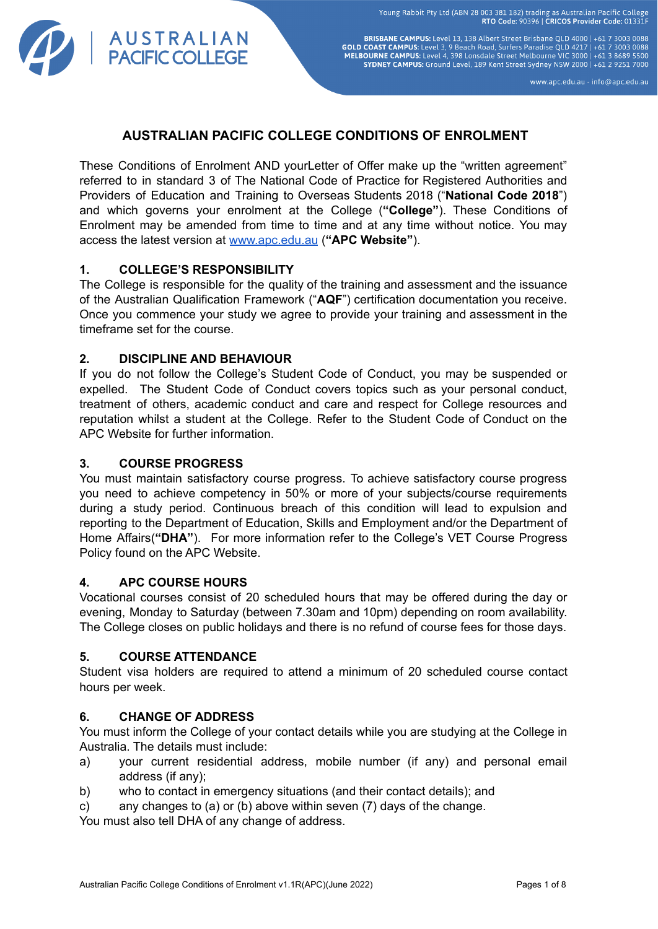

www.apc.edu.au - info@apc.edu.au

# **AUSTRALIAN PACIFIC COLLEGE CONDITIONS OF ENROLMENT**

These Conditions of Enrolment AND yourLetter of Offer make up the "written agreement" referred to in standard 3 of The National Code of Practice for Registered Authorities and Providers of Education and Training to Overseas Students 2018 ("**National Code 2018**") and which governs your enrolment at the College (**"College"**). These Conditions of Enrolment may be amended from time to time and at any time without notice. You may access the latest version at [www.apc.edu.au](http://www.apc.edu.au) (**"APC Website"**).

## **1. COLLEGE'S RESPONSIBILITY**

A U S T R A L I A N<br>PACIFIC COLLEGE

The College is responsible for the quality of the training and assessment and the issuance of the Australian Qualification Framework ("**AQF**") certification documentation you receive. Once you commence your study we agree to provide your training and assessment in the timeframe set for the course.

## **2. DISCIPLINE AND BEHAVIOUR**

If you do not follow the College's Student Code of Conduct, you may be suspended or expelled. The Student Code of Conduct covers topics such as your personal conduct, treatment of others, academic conduct and care and respect for College resources and reputation whilst a student at the College. Refer to the Student Code of Conduct on the APC Website for further information.

## **3. COURSE PROGRESS**

You must maintain satisfactory course progress. To achieve satisfactory course progress you need to achieve competency in 50% or more of your subjects/course requirements during a study period. Continuous breach of this condition will lead to expulsion and reporting to the Department of Education, Skills and Employment and/or the Department of Home Affairs(**"DHA"**). For more information refer to the College's VET Course Progress Policy found on the APC Website.

### **4. APC COURSE HOURS**

Vocational courses consist of 20 scheduled hours that may be offered during the day or evening, Monday to Saturday (between 7.30am and 10pm) depending on room availability. The College closes on public holidays and there is no refund of course fees for those days.

### **5. COURSE ATTENDANCE**

Student visa holders are required to attend a minimum of 20 scheduled course contact hours per week.

## **6. CHANGE OF ADDRESS**

You must inform the College of your contact details while you are studying at the College in Australia. The details must include:

- a) your current residential address, mobile number (if any) and personal email address (if any);
- b) who to contact in emergency situations (and their contact details); and
- c) any changes to (a) or (b) above within seven (7) days of the change.

You must also tell DHA of any change of address.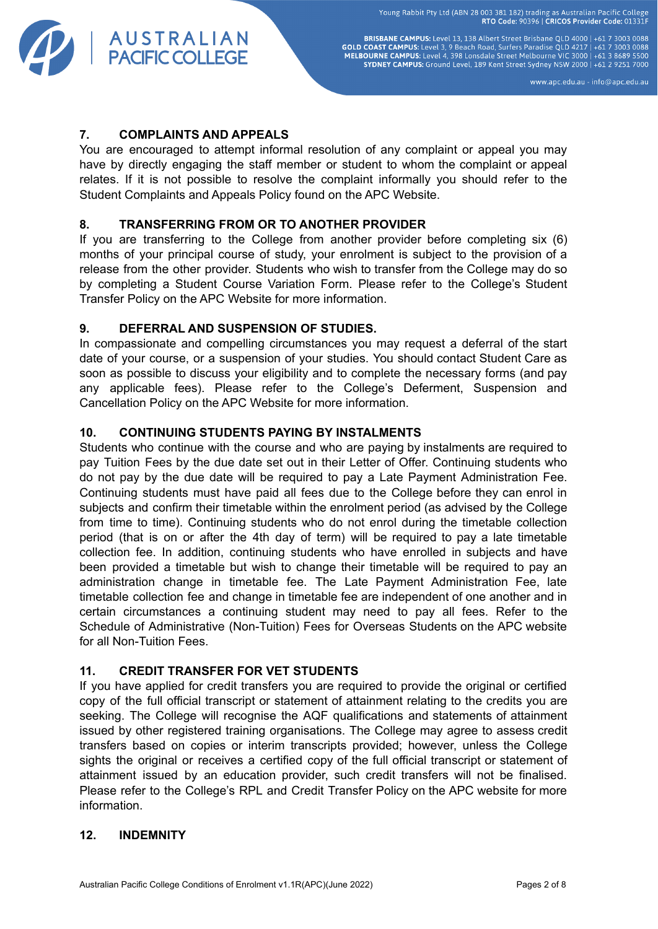

BRISBANE CAMPUS: Level 13, 138 Albert Street Brisbane QLD 4000 | +61 7 3003 0088<br>GOLD COAST CAMPUS: Level 3, 9 Beach Road, Surfers Paradise QLD 4217 | +61 7 3003 0088<br>MELBOURNE CAMPUS: Level 4, 398 Lonsdale Street Melbourn SYDNEY CAMPUS: Ground Level, 189 Kent Street Sydney NSW 2000 | +61 2 9251 7000

www.apc.edu.au - info@apc.edu.au

## **7. COMPLAINTS AND APPEALS**

You are encouraged to attempt informal resolution of any complaint or appeal you may have by directly engaging the staff member or student to whom the complaint or appeal relates. If it is not possible to resolve the complaint informally you should refer to the Student Complaints and Appeals Policy found on the APC Website.

# **8. TRANSFERRING FROM OR TO ANOTHER PROVIDER**

If you are transferring to the College from another provider before completing six (6) months of your principal course of study, your enrolment is subject to the provision of a release from the other provider. Students who wish to transfer from the College may do so by completing a Student Course Variation Form. Please refer to the College's Student Transfer Policy on the APC Website for more information.

# **9. DEFERRAL AND SUSPENSION OF STUDIES.**

In compassionate and compelling circumstances you may request a deferral of the start date of your course, or a suspension of your studies. You should contact Student Care as soon as possible to discuss your eligibility and to complete the necessary forms (and pay any applicable fees). Please refer to the College's Deferment, Suspension and Cancellation Policy on the APC Website for more information.

# **10. CONTINUING STUDENTS PAYING BY INSTALMENTS**

Students who continue with the course and who are paying by instalments are required to pay Tuition Fees by the due date set out in their Letter of Offer. Continuing students who do not pay by the due date will be required to pay a Late Payment Administration Fee. Continuing students must have paid all fees due to the College before they can enrol in subjects and confirm their timetable within the enrolment period (as advised by the College from time to time). Continuing students who do not enrol during the timetable collection period (that is on or after the 4th day of term) will be required to pay a late timetable collection fee. In addition, continuing students who have enrolled in subjects and have been provided a timetable but wish to change their timetable will be required to pay an administration change in timetable fee. The Late Payment Administration Fee, late timetable collection fee and change in timetable fee are independent of one another and in certain circumstances a continuing student may need to pay all fees. Refer to the Schedule of Administrative (Non-Tuition) Fees for Overseas Students on the APC website for all Non-Tuition Fees.

## **11. CREDIT TRANSFER FOR VET STUDENTS**

If you have applied for credit transfers you are required to provide the original or certified copy of the full official transcript or statement of attainment relating to the credits you are seeking. The College will recognise the AQF qualifications and statements of attainment issued by other registered training organisations. The College may agree to assess credit transfers based on copies or interim transcripts provided; however, unless the College sights the original or receives a certified copy of the full official transcript or statement of attainment issued by an education provider, such credit transfers will not be finalised. Please refer to the College's RPL and Credit Transfer Policy on the APC website for more information.

## **12. INDEMNITY**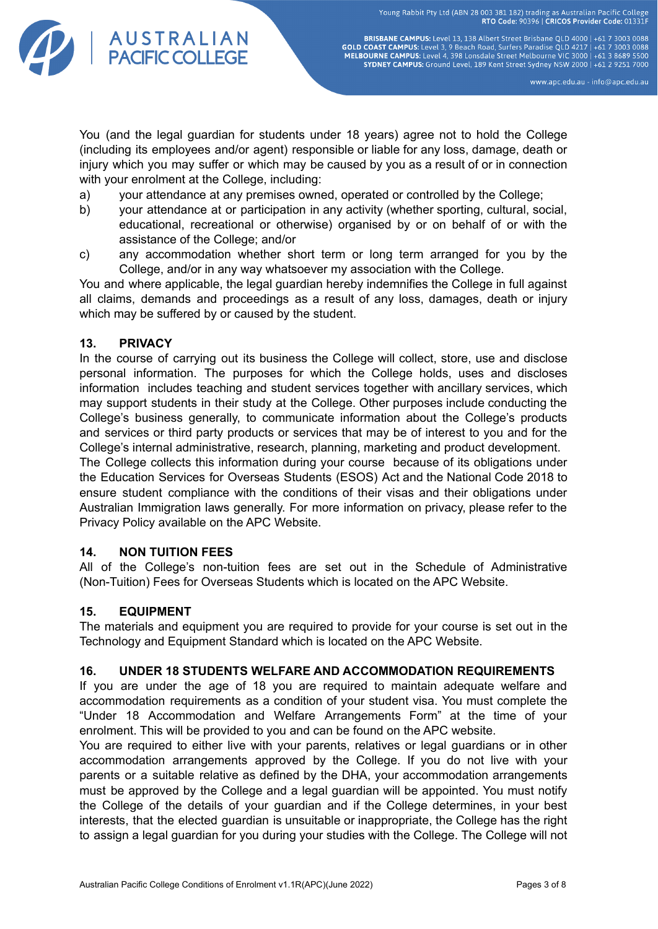

**BRISBANE CAMPUS:** Level 13, 138 Albert Street Brisbane QLD 4000 | +61 7 3003 0088<br>GOLD COAST CAMPUS: Level 3, 9 Beach Road, Surfers Paradise QLD 4217 | +61 7 3003 0088<br>MELBOURNE CAMPUS: Level 4, 398 Lonsdale Street Melbou SYDNEY CAMPUS: Ground Level, 189 Kent Street Sydney NSW 2000 | +61 2 9251 7000

www.apc.edu.au - info@apc.edu.au

You (and the legal guardian for students under 18 years) agree not to hold the College (including its employees and/or agent) responsible or liable for any loss, damage, death or injury which you may suffer or which may be caused by you as a result of or in connection with your enrolment at the College, including:

- a) your attendance at any premises owned, operated or controlled by the College;
- b) your attendance at or participation in any activity (whether sporting, cultural, social, educational, recreational or otherwise) organised by or on behalf of or with the assistance of the College; and/or
- c) any accommodation whether short term or long term arranged for you by the College, and/or in any way whatsoever my association with the College.

You and where applicable, the legal guardian hereby indemnifies the College in full against all claims, demands and proceedings as a result of any loss, damages, death or injury which may be suffered by or caused by the student.

## **13. PRIVACY**

In the course of carrying out its business the College will collect, store, use and disclose personal information. The purposes for which the College holds, uses and discloses information includes teaching and student services together with ancillary services, which may support students in their study at the College. Other purposes include conducting the College's business generally, to communicate information about the College's products and services or third party products or services that may be of interest to you and for the College's internal administrative, research, planning, marketing and product development.

The College collects this information during your course because of its obligations under the Education Services for Overseas Students (ESOS) Act and the National Code 2018 to ensure student compliance with the conditions of their visas and their obligations under Australian Immigration laws generally. For more information on privacy, please refer to the Privacy Policy available on the APC Website.

## **14. NON TUITION FEES**

All of the College's non-tuition fees are set out in the Schedule of Administrative (Non-Tuition) Fees for Overseas Students which is located on the APC Website.

### **15. EQUIPMENT**

The materials and equipment you are required to provide for your course is set out in the Technology and Equipment Standard which is located on the APC Website.

### **16. UNDER 18 STUDENTS WELFARE AND ACCOMMODATION REQUIREMENTS**

If you are under the age of 18 you are required to maintain adequate welfare and accommodation requirements as a condition of your student visa. You must complete the "Under 18 Accommodation and Welfare Arrangements Form" at the time of your enrolment. This will be provided to you and can be found on the APC website.

You are required to either live with your parents, relatives or legal guardians or in other accommodation arrangements approved by the College. If you do not live with your parents or a suitable relative as defined by the DHA, your accommodation arrangements must be approved by the College and a legal guardian will be appointed. You must notify the College of the details of your guardian and if the College determines, in your best interests, that the elected guardian is unsuitable or inappropriate, the College has the right to assign a legal guardian for you during your studies with the College. The College will not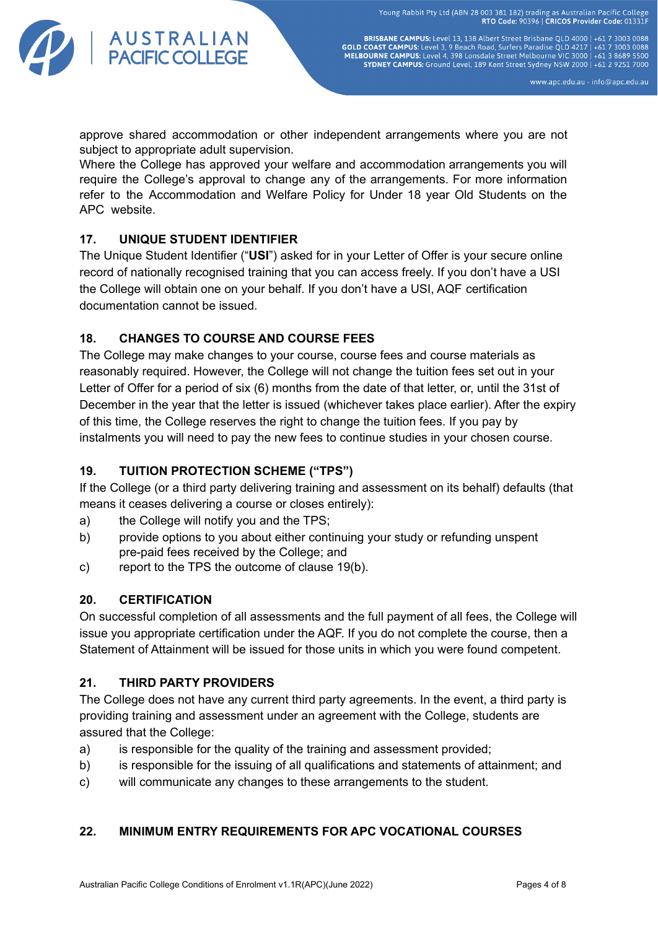

BRISBANE CAMPUS: Level 13, 138 Albert Street Brisbane QLD 4000 | +61 7 3003 0088 **GOLD COAST CAMPUS:** Level 13, 130 Aluent Site is listed to the U 4000 FOAST CAMPUS: Level 3, 9 Beach Road, Surfers Paradise QLD 4217 | +61 7 3003 0088<br>MELBOURNE CAMPUS: Level 4, 398 Lonsdale Street Melbourne VIC 3000 | +6 SYDNEY CAMPUS: Ground Level, 189 Kent Street Sydney NSW 2000 | +61 2 9251 7000

www.apc.edu.au - info@apc.edu.au

approve shared accommodation or other independent arrangements where you are not subject to appropriate adult supervision.

Where the College has approved your welfare and accommodation arrangements you will require the College's approval to change any of the arrangements. For more information refer to the Accommodation and Welfare Policy for Under 18 year Old Students on the APC website.

# **17. UNIQUE STUDENT IDENTIFIER**

The Unique Student Identifier ("**USI**") asked for in your Letter of Offer is your secure online record of nationally recognised training that you can access freely. If you don't have a USI the College will obtain one on your behalf. If you don't have a USI, AQF certification documentation cannot be issued.

# **18. CHANGES TO COURSE AND COURSE FEES**

The College may make changes to your course, course fees and course materials as reasonably required. However, the College will not change the tuition fees set out in your Letter of Offer for a period of six (6) months from the date of that letter, or, until the 31st of December in the year that the letter is issued (whichever takes place earlier). After the expiry of this time, the College reserves the right to change the tuition fees. If you pay by instalments you will need to pay the new fees to continue studies in your chosen course.

# **19. TUITION PROTECTION SCHEME ("TPS")**

If the College (or a third party delivering training and assessment on its behalf) defaults (that means it ceases delivering a course or closes entirely):

- a) the College will notify you and the TPS;
- b) provide options to you about either continuing your study or refunding unspent pre-paid fees received by the College; and
- c) report to the TPS the outcome of clause 19(b).

# **20. CERTIFICATION**

On successful completion of all assessments and the full payment of all fees, the College will issue you appropriate certification under the AQF. If you do not complete the course, then a Statement of Attainment will be issued for those units in which you were found competent.

# **21. THIRD PARTY PROVIDERS**

The College does not have any current third party agreements. In the event, a third party is providing training and assessment under an agreement with the College, students are assured that the College:

- a) is responsible for the quality of the training and assessment provided;
- b) is responsible for the issuing of all qualifications and statements of attainment; and
- c) will communicate any changes to these arrangements to the student.

## **22. MINIMUM ENTRY REQUIREMENTS FOR APC VOCATIONAL COURSES**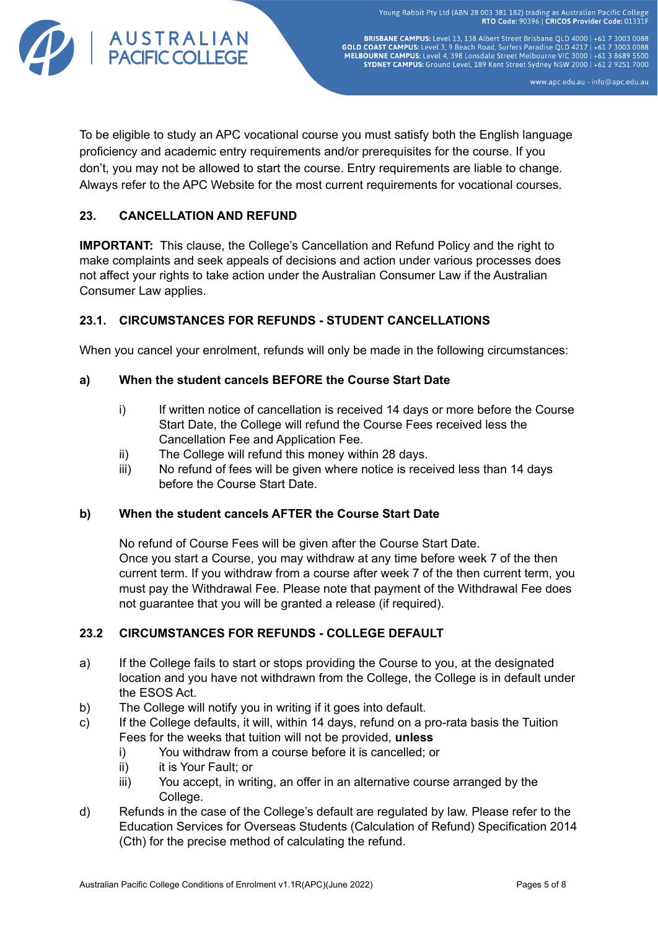

BRISBANE CAMPUS: Level 13, 138 Albert Street Brisbane QLD 4000 | +61 7 3003 0088<br>GOLD COAST CAMPUS: Level 3, 9 Beach Road, Surfers Paradise QLD 4217 | +61 7 3003 0088<br>MELBOURNE CAMPUS: Level 4, 398 Lonsdale Street Melbourn SYDNEY CAMPUS: Ground Level, 189 Kent Street Sydney NSW 2000 | +61 2 9251 7000

www.apc.edu.au - info@apc.edu.au

To be eligible to study an APC vocational course you must satisfy both the English language proficiency and academic entry requirements and/or prerequisites for the course. If you don't, you may not be allowed to start the course. Entry requirements are liable to change. Always refer to the APC Website for the most current requirements for vocational courses.

# **23. CANCELLATION AND REFUND**

**IMPORTANT:** This clause, the College's Cancellation and Refund Policy and the right to make complaints and seek appeals of decisions and action under various processes does not affect your rights to take action under the Australian Consumer Law if the Australian Consumer Law applies.

# **23.1. CIRCUMSTANCES FOR REFUNDS - STUDENT CANCELLATIONS**

When you cancel your enrolment, refunds will only be made in the following circumstances:

## **a) When the student cancels BEFORE the Course Start Date**

- i) If written notice of cancellation is received 14 days or more before the Course Start Date, the College will refund the Course Fees received less the Cancellation Fee and Application Fee.
- ii) The College will refund this money within 28 days.
- iii) No refund of fees will be given where notice is received less than 14 days before the Course Start Date.

## **b) When the student cancels AFTER the Course Start Date**

No refund of Course Fees will be given after the Course Start Date. Once you start a Course, you may withdraw at any time before week 7 of the then current term. If you withdraw from a course after week 7 of the then current term, you must pay the Withdrawal Fee. Please note that payment of the Withdrawal Fee does not guarantee that you will be granted a release (if required).

## **23.2 CIRCUMSTANCES FOR REFUNDS - COLLEGE DEFAULT**

- a) If the College fails to start or stops providing the Course to you, at the designated location and you have not withdrawn from the College, the College is in default under the ESOS Act.
- b) The College will notify you in writing if it goes into default.
- c) If the College defaults, it will, within 14 days, refund on a pro-rata basis the Tuition Fees for the weeks that tuition will not be provided, **unless**
	- i) You withdraw from a course before it is cancelled; or
	- ii) it is Your Fault: or
	- iii) You accept, in writing, an offer in an alternative course arranged by the College.
- d) Refunds in the case of the College's default are regulated by law. Please refer to the Education Services for Overseas Students (Calculation of Refund) Specification 2014 (Cth) for the precise method of calculating the refund.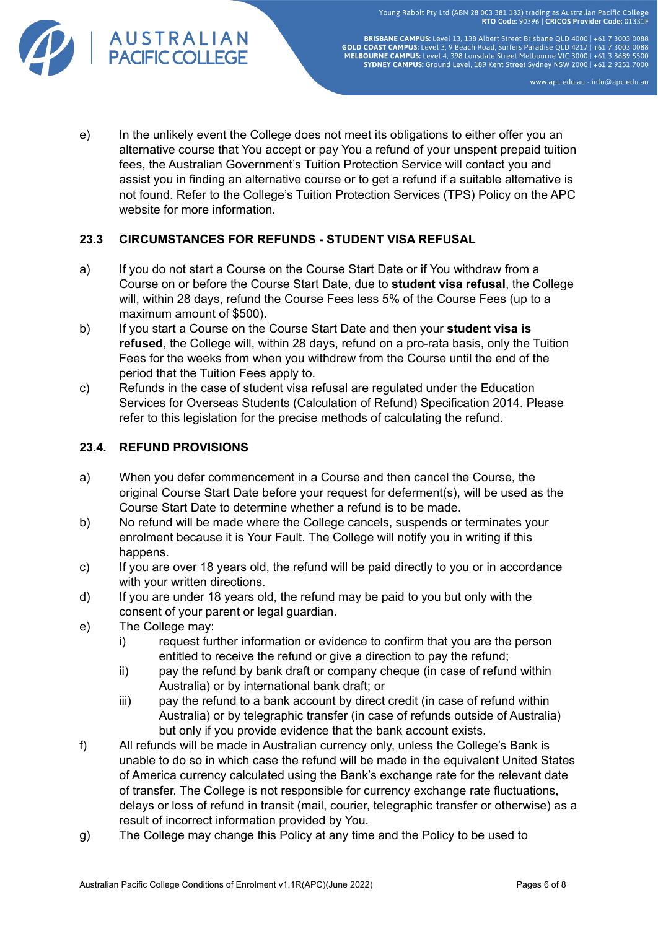

BRISBANE CAMPUS: Level 13, 138 Albert Street Brisbane QLD 4000 | +61 7 3003 0088<br>GOLD COAST CAMPUS: Level 3, 9 Beach Road, Surfers Paradise QLD 4217 | +61 7 3003 0088<br>MELBOURNE CAMPUS: Level 4, 398 Lonsdale Street Melbourn SYDNEY CAMPUS: Ground Level, 189 Kent Street Sydney NSW 2000 | +61 2 9251 7000

www.apc.edu.au - info@apc.edu.au

e) In the unlikely event the College does not meet its obligations to either offer you an alternative course that You accept or pay You a refund of your unspent prepaid tuition fees, the Australian Government's Tuition Protection Service will contact you and assist you in finding an alternative course or to get a refund if a suitable alternative is not found. Refer to the College's Tuition Protection Services (TPS) Policy on the APC website for more information.

# **23.3 CIRCUMSTANCES FOR REFUNDS - STUDENT VISA REFUSAL**

- a) If you do not start a Course on the Course Start Date or if You withdraw from a Course on or before the Course Start Date, due to **student visa refusal**, the College will, within 28 days, refund the Course Fees less 5% of the Course Fees (up to a maximum amount of \$500).
- b) If you start a Course on the Course Start Date and then your **student visa is refused**, the College will, within 28 days, refund on a pro-rata basis, only the Tuition Fees for the weeks from when you withdrew from the Course until the end of the period that the Tuition Fees apply to.
- c) Refunds in the case of student visa refusal are regulated under the Education Services for Overseas Students (Calculation of Refund) Specification 2014. Please refer to this legislation for the precise methods of calculating the refund.

# **23.4. REFUND PROVISIONS**

- a) When you defer commencement in a Course and then cancel the Course, the original Course Start Date before your request for deferment(s), will be used as the Course Start Date to determine whether a refund is to be made.
- b) No refund will be made where the College cancels, suspends or terminates your enrolment because it is Your Fault. The College will notify you in writing if this happens.
- c) If you are over 18 years old, the refund will be paid directly to you or in accordance with your written directions.
- d) If you are under 18 years old, the refund may be paid to you but only with the consent of your parent or legal guardian.
- e) The College may:
	- i) request further information or evidence to confirm that you are the person entitled to receive the refund or give a direction to pay the refund;
	- ii) pay the refund by bank draft or company cheque (in case of refund within Australia) or by international bank draft; or
	- iii) pay the refund to a bank account by direct credit (in case of refund within Australia) or by telegraphic transfer (in case of refunds outside of Australia) but only if you provide evidence that the bank account exists.
- f) All refunds will be made in Australian currency only, unless the College's Bank is unable to do so in which case the refund will be made in the equivalent United States of America currency calculated using the Bank's exchange rate for the relevant date of transfer. The College is not responsible for currency exchange rate fluctuations, delays or loss of refund in transit (mail, courier, telegraphic transfer or otherwise) as a result of incorrect information provided by You.
- g) The College may change this Policy at any time and the Policy to be used to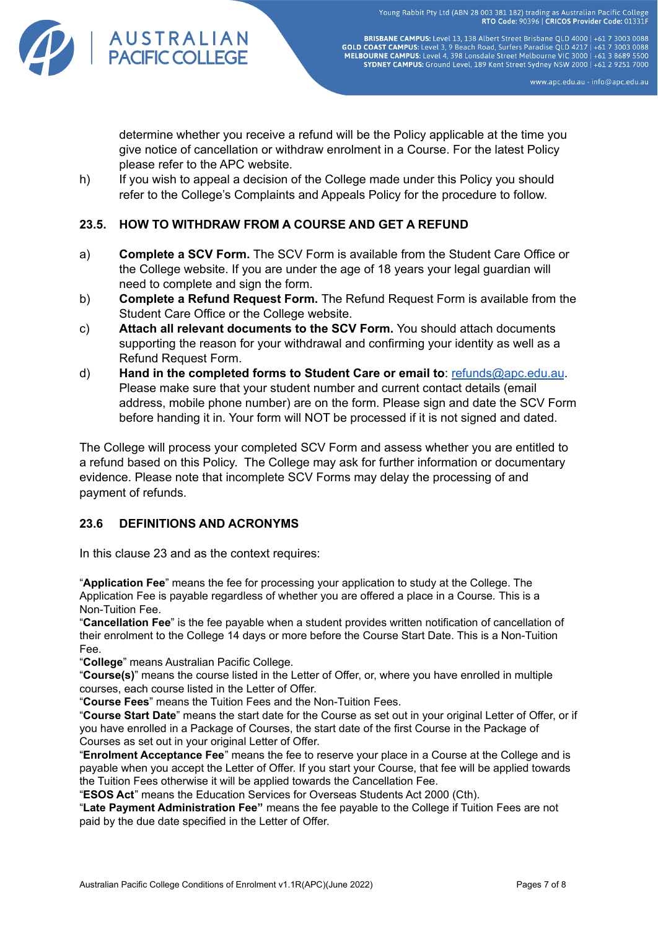

BRISBANE CAMPUS: Level 13, 138 Albert Street Brisbane QLD 4000 | +61 7 3003 0088<br>GOLD COAST CAMPUS: Level 3, 9 Beach Road, Surfers Paradise QLD 4217 | +61 7 3003 0088<br>MELBOURNE CAMPUS: Level 4, 398 Lonsdale Street Melbourn SYDNEY CAMPUS: Ground Level, 189 Kent Street Sydney NSW 2000 | +61 2 9251 7000

www.apc.edu.au - info@apc.edu.au

determine whether you receive a refund will be the Policy applicable at the time you give notice of cancellation or withdraw enrolment in a Course. For the latest Policy please refer to the APC website.

h) If you wish to appeal a decision of the College made under this Policy you should refer to the College's Complaints and Appeals Policy for the procedure to follow.

# **23.5. HOW TO WITHDRAW FROM A COURSE AND GET A REFUND**

- a) **Complete a SCV Form.** The SCV Form is available from the Student Care Office or the College website. If you are under the age of 18 years your legal guardian will need to complete and sign the form.
- b) **Complete a Refund Request Form.** The Refund Request Form is available from the Student Care Office or the College website.
- c) **Attach all relevant documents to the SCV Form.** You should attach documents supporting the reason for your withdrawal and confirming your identity as well as a Refund Request Form.
- d) **Hand in the completed forms to Student Care or email to**: [refunds@apc.edu.au](mailto:refunds@apc.edu.au). Please make sure that your student number and current contact details (email address, mobile phone number) are on the form. Please sign and date the SCV Form before handing it in. Your form will NOT be processed if it is not signed and dated.

The College will process your completed SCV Form and assess whether you are entitled to a refund based on this Policy. The College may ask for further information or documentary evidence. Please note that incomplete SCV Forms may delay the processing of and payment of refunds.

## **23.6 DEFINITIONS AND ACRONYMS**

In this clause 23 and as the context requires:

"**Application Fee**" means the fee for processing your application to study at the College. The Application Fee is payable regardless of whether you are offered a place in a Course*.* This is a Non-Tuition Fee.

"**Cancellation Fee**" is the fee payable when a student provides written notification of cancellation of their enrolment to the College 14 days or more before the Course Start Date. This is a Non-Tuition Fee.

"**College**" means Australian Pacific College.

"**Course(s)**" means the course listed in the Letter of Offer, or, where you have enrolled in multiple courses, each course listed in the Letter of Offer.

"**Course Fees**" means the Tuition Fees and the Non-Tuition Fees.

"**Course Start Date**" means the start date for the Course as set out in your original Letter of Offer, or if you have enrolled in a Package of Courses, the start date of the first Course in the Package of Courses as set out in your original Letter of Offer.

"**Enrolment Acceptance Fee**" means the fee to reserve your place in a Course at the College and is payable when you accept the Letter of Offer. If you start your Course, that fee will be applied towards the Tuition Fees otherwise it will be applied towards the Cancellation Fee.

"**ESOS Act**" means the Education Services for Overseas Students Act 2000 (Cth).

"**Late Payment Administration Fee"** means the fee payable to the College if Tuition Fees are not paid by the due date specified in the Letter of Offer.